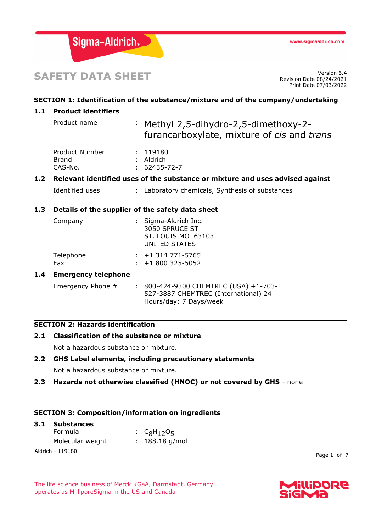

# **SAFETY DATA SHEET**

Revision Date 08/24/2021 Print Date 07/03/2022

# **SECTION 1: Identification of the substance/mixture and of the company/undertaking 1.1 Product identifiers** Product name : Methyl 2,5-dihydro-2,5-dimethoxy-2furancarboxylate, mixture of *cis* and *trans* Product Number : 119180 Brand : Aldrich CAS-No. : 62435-72-7 **1.2 Relevant identified uses of the substance or mixture and uses advised against** Identified uses : Laboratory chemicals, Synthesis of substances **1.3 Details of the supplier of the safety data sheet** Company : Sigma-Aldrich Inc. 3050 SPRUCE ST ST. LOUIS MO 63103 UNITED STATES Telephone : +1 314 771-5765 Fax : +1 800 325-5052 **1.4 Emergency telephone**

Emergency Phone # : 800-424-9300 CHEMTREC (USA) +1-703-527-3887 CHEMTREC (International) 24 Hours/day; 7 Days/week

# **SECTION 2: Hazards identification**

# **2.1 Classification of the substance or mixture**

Not a hazardous substance or mixture.

# **2.2 GHS Label elements, including precautionary statements**

Not a hazardous substance or mixture.

**2.3 Hazards not otherwise classified (HNOC) or not covered by GHS** - none

# **SECTION 3: Composition/information on ingredients**

| 3.1 Substances   |  |                  |  |  |
|------------------|--|------------------|--|--|
| Formula          |  | : $C_8H_{12}O_5$ |  |  |
| Molecular weight |  | $: 188.18$ g/mol |  |  |
| Aldrich - 119180 |  |                  |  |  |

Page 1 of 7

The life science business of Merck KGaA, Darmstadt, Germany operates as MilliporeSigma in the US and Canada

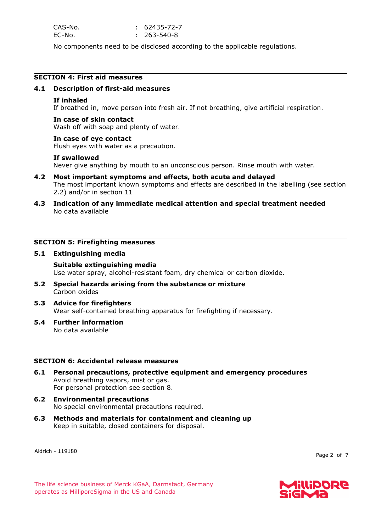| CAS-No. | $: 62435 - 72 - 7$ |
|---------|--------------------|
| EC-No.  | $: 263 - 540 - 8$  |

No components need to be disclosed according to the applicable regulations.

# **SECTION 4: First aid measures**

## **4.1 Description of first-aid measures**

### **If inhaled**

If breathed in, move person into fresh air. If not breathing, give artificial respiration.

### **In case of skin contact**

Wash off with soap and plenty of water.

#### **In case of eye contact**

Flush eyes with water as a precaution.

### **If swallowed**

Never give anything by mouth to an unconscious person. Rinse mouth with water.

- **4.2 Most important symptoms and effects, both acute and delayed** The most important known symptoms and effects are described in the labelling (see section 2.2) and/or in section 11
- **4.3 Indication of any immediate medical attention and special treatment needed** No data available

# **SECTION 5: Firefighting measures**

### **5.1 Extinguishing media**

# **Suitable extinguishing media**

Use water spray, alcohol-resistant foam, dry chemical or carbon dioxide.

- **5.2 Special hazards arising from the substance or mixture** Carbon oxides
- **5.3 Advice for firefighters** Wear self-contained breathing apparatus for firefighting if necessary.
- **5.4 Further information** No data available

#### **SECTION 6: Accidental release measures**

- **6.1 Personal precautions, protective equipment and emergency procedures** Avoid breathing vapors, mist or gas. For personal protection see section 8.
- **6.2 Environmental precautions** No special environmental precautions required.
- **6.3 Methods and materials for containment and cleaning up** Keep in suitable, closed containers for disposal.

Aldrich - 119180

Page 2 of 7

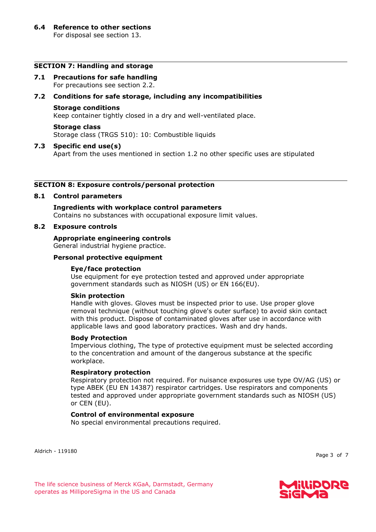## **SECTION 7: Handling and storage**

**7.1 Precautions for safe handling** For precautions see section 2.2.

## **7.2 Conditions for safe storage, including any incompatibilities**

### **Storage conditions**

Keep container tightly closed in a dry and well-ventilated place.

#### **Storage class**

Storage class (TRGS 510): 10: Combustible liquids

### **7.3 Specific end use(s)**

Apart from the uses mentioned in section 1.2 no other specific uses are stipulated

#### **SECTION 8: Exposure controls/personal protection**

#### **8.1 Control parameters**

**Ingredients with workplace control parameters** Contains no substances with occupational exposure limit values.

### **8.2 Exposure controls**

#### **Appropriate engineering controls** General industrial hygiene practice.

# **Personal protective equipment**

## **Eye/face protection**

Use equipment for eye protection tested and approved under appropriate government standards such as NIOSH (US) or EN 166(EU).

#### **Skin protection**

Handle with gloves. Gloves must be inspected prior to use. Use proper glove removal technique (without touching glove's outer surface) to avoid skin contact with this product. Dispose of contaminated gloves after use in accordance with applicable laws and good laboratory practices. Wash and dry hands.

#### **Body Protection**

Impervious clothing, The type of protective equipment must be selected according to the concentration and amount of the dangerous substance at the specific workplace.

#### **Respiratory protection**

Respiratory protection not required. For nuisance exposures use type OV/AG (US) or type ABEK (EU EN 14387) respirator cartridges. Use respirators and components tested and approved under appropriate government standards such as NIOSH (US) or CEN (EU).

# **Control of environmental exposure**

No special environmental precautions required.

Aldrich - 119180

Page 3 of 7

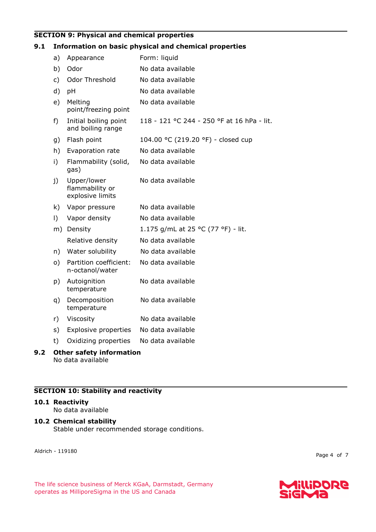# **SECTION 9: Physical and chemical properties**

# **9.1 Information on basic physical and chemical properties**

| a)                              | Appearance                                         | Form: liquid                               |  |  |
|---------------------------------|----------------------------------------------------|--------------------------------------------|--|--|
| b)                              | Odor                                               | No data available                          |  |  |
| c)                              | Odor Threshold                                     | No data available                          |  |  |
| d)                              | pH                                                 | No data available                          |  |  |
| e)                              | Melting<br>point/freezing point                    | No data available                          |  |  |
| f)                              | Initial boiling point<br>and boiling range         | 118 - 121 °C 244 - 250 °F at 16 hPa - lit. |  |  |
| g)                              | Flash point                                        | 104.00 °C (219.20 °F) - closed cup         |  |  |
| h)                              | Evaporation rate                                   | No data available                          |  |  |
| i)                              | Flammability (solid,<br>gas)                       | No data available                          |  |  |
| j)                              | Upper/lower<br>flammability or<br>explosive limits | No data available                          |  |  |
| k)                              | Vapor pressure                                     | No data available                          |  |  |
| $\vert$ )                       | Vapor density                                      | No data available                          |  |  |
| m)                              | Density                                            | 1.175 g/mL at 25 °C (77 °F) - lit.         |  |  |
|                                 | Relative density                                   | No data available                          |  |  |
| n)                              | Water solubility                                   | No data available                          |  |  |
| o)                              | Partition coefficient:<br>n-octanol/water          | No data available                          |  |  |
| p)                              | Autoignition<br>temperature                        | No data available                          |  |  |
| q)                              | Decomposition<br>temperature                       | No data available                          |  |  |
| r)                              | Viscosity                                          | No data available                          |  |  |
| s)                              | <b>Explosive properties</b>                        | No data available                          |  |  |
| t)                              | Oxidizing properties                               | No data available                          |  |  |
| <b>Other safety information</b> |                                                    |                                            |  |  |

No data available

# **SECTION 10: Stability and reactivity**

#### **10.1 Reactivity**

**9.2 Other safety information**

No data available

# **10.2 Chemical stability**

Stable under recommended storage conditions.

Aldrich - 119180

Page 4 of 7

The life science business of Merck KGaA, Darmstadt, Germany operates as MilliporeSigma in the US and Canada

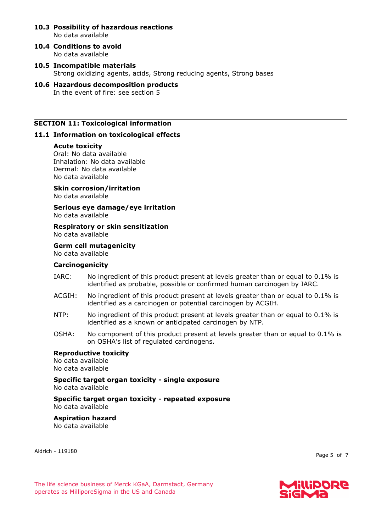- **10.3 Possibility of hazardous reactions** No data available
- **10.4 Conditions to avoid** No data available
- **10.5 Incompatible materials** Strong oxidizing agents, acids, Strong reducing agents, Strong bases
- **10.6 Hazardous decomposition products** In the event of fire: see section 5

## **SECTION 11: Toxicological information**

### **11.1 Information on toxicological effects**

#### **Acute toxicity**

Oral: No data available Inhalation: No data available Dermal: No data available No data available

**Skin corrosion/irritation** No data available

**Serious eye damage/eye irritation** No data available

**Respiratory or skin sensitization** No data available

**Germ cell mutagenicity** No data available

## **Carcinogenicity**

- IARC: No ingredient of this product present at levels greater than or equal to 0.1% is identified as probable, possible or confirmed human carcinogen by IARC.
- ACGIH: No ingredient of this product present at levels greater than or equal to 0.1% is identified as a carcinogen or potential carcinogen by ACGIH.
- NTP: No ingredient of this product present at levels greater than or equal to 0.1% is identified as a known or anticipated carcinogen by NTP.
- OSHA: No component of this product present at levels greater than or equal to 0.1% is on OSHA's list of regulated carcinogens.

#### **Reproductive toxicity** No data available

No data available

**Specific target organ toxicity - single exposure** No data available

**Specific target organ toxicity - repeated exposure** No data available

**Aspiration hazard** No data available

Aldrich - 119180

Page 5 of 7

The life science business of Merck KGaA, Darmstadt, Germany operates as MilliporeSigma in the US and Canada

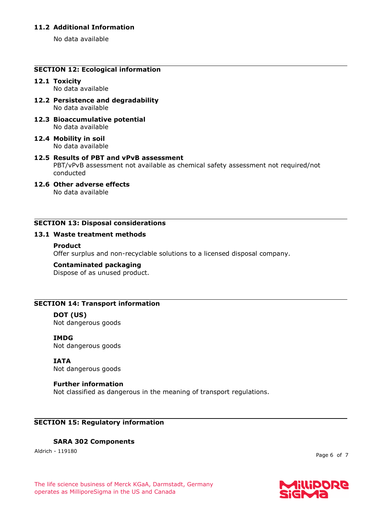# **11.2 Additional Information**

No data available

# **SECTION 12: Ecological information**

# **12.1 Toxicity**

No data available

- **12.2 Persistence and degradability** No data available
- **12.3 Bioaccumulative potential** No data available
- **12.4 Mobility in soil** No data available
- **12.5 Results of PBT and vPvB assessment** PBT/vPvB assessment not available as chemical safety assessment not required/not conducted
- **12.6 Other adverse effects** No data available

# **SECTION 13: Disposal considerations**

# **13.1 Waste treatment methods**

### **Product**

Offer surplus and non-recyclable solutions to a licensed disposal company.

#### **Contaminated packaging**

Dispose of as unused product.

# **SECTION 14: Transport information**

# **DOT (US)**

Not dangerous goods

# **IMDG**

Not dangerous goods

#### **IATA** Not dangerous goods

# **Further information**

Not classified as dangerous in the meaning of transport regulations.

# **SECTION 15: Regulatory information**

# **SARA 302 Components**

Aldrich - 119180

Page 6 of 7